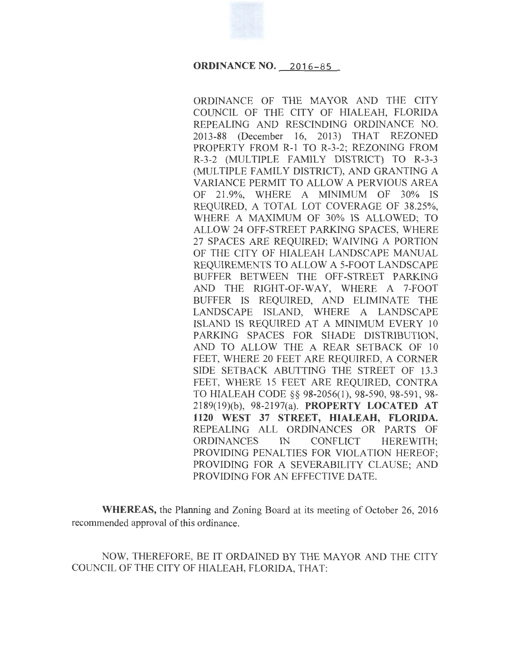# **ORDINANCE NO. 2016-85**

ORDINANCE OF THE MAYOR AND THE CITY COUNCIL OF THE CITY OF HIALEAH, FLORIDA REPEALING AND RESCINDING ORDINANCE NO. 2013-88 (December 16, 2013) THAT REZONED PROPERTY FROM R-1 TO R-3-2; REZONING FROM R-3-2 (MULTIPLE FAMILY DISTRICT) TO R-3-3 (MULTIPLE FAMILY DISTRICT), AND GRANTING A VARIANCE PERMIT TO ALLOW A PERVIOUS AREA OF 21.9%, WHERE A MINIMUM OF 30% IS REQUIRED, A TOTAL LOT COVERAGE OF 38.25%, WHERE A MAXIMUM OF 30% IS ALLOWED; TO ALLOW 24 OFF-STREET PARKING SPACES, WHERE 27 SPACES ARE REQUIRED; WAIVING A PORTION OF THE CITY OF HIALEAH LANDSCAPE MANUAL REQUIREMENTS TO ALLOW A 5-FOOT LANDSCAPE BUFFER BETWEEN THE OFF-STREET PARKING AND THE RIGHT-OF-WAY, WHERE A 7-FOOT BUFFER IS REQUIRED, AND ELIMINATE THE LANDSCAPE ISLAND, WHERE A LANDSCAPE ISLAND IS REQUIRED AT A MINIMUM EVERY 10 PARKING SPACES FOR SHADE DISTRIBUTION, AND TO ALLOW THE A REAR SETBACK OF 10 FEET, WHERE 20 FEET ARE REQUIRED, A CORNER SIDE SETBACK ABUTTING THE STREET OF 13.3 FEET, WHERE 15 FEET ARE REQUIRED, CONTRA TO HIALEAH CODE§§ 98-2056(1), 98-590, 98-591 , 98- 2189(19)(b), 98-2197(a). **PROPERTY LOCATED AT 1120 WEST 37 STREET, HIALEAH, FLORIDA.**  REPEALING ALL ORDINANCES OR PARTS OF ORDINANCES IN CONFLICT HEREWITH; PROVIDING PENALTIES FOR VIOLATION HEREOF; PROVIDING FOR A SEVERABILITY CLAUSE; AND PROVIDING FOR AN EFFECTIVE DATE.

**WHEREAS,** the Planning and Zoning Board at its meeting of October 26, 2016 recommended approval of this ordinance.

NOW, THEREFORE, BE IT ORDAINED BY THE MAYOR AND THE CITY COUNCIL OF THE CITY OF HIALEAH, FLORIDA, THAT: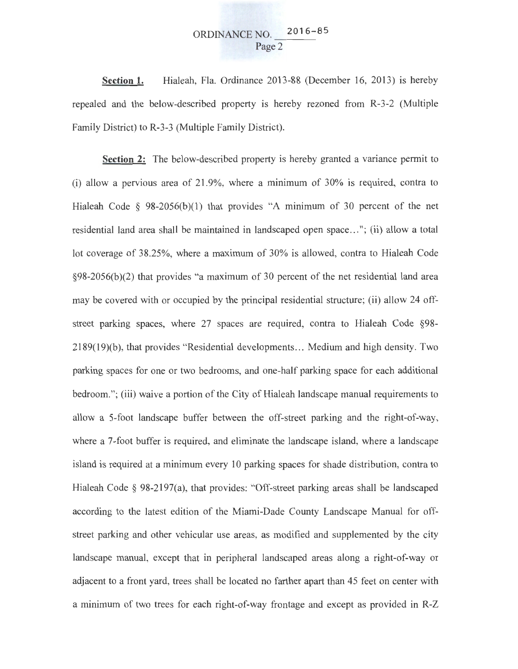# ORDINANCE NO. 2016-85 Page 2

**Section 1.** Hialeah, Fla. Ordinance 2013-88 (December 16, 2013) is hereby repealed and the below-described property is hereby rezoned from R-3-2 (Multiple Family District) to R-3-3 (Multiple Family District).

**Section** 2: The below-described property is hereby granted a variance permit to (i) allow a pervious area of 21.9%, where a minimum of 30% is required, contra to Hialeah Code § 98-2056(b)(1) that provides "A minimum of 30 percent of the net residential land area shall be maintained in landscaped open space ... "; (ii) allow a total lot coverage of 38.25%, where a maximum of 30% is allowed, contra to Hialeah Code §98-2056(b)(2) that provides "a maximum of 30 percent of the net residential land area may be covered with or occupied by the principal residential structure; (ii) allow 24 offstreet parking spaces, where 27 spaces are required, contra to Hialeah Code §98- 2189(19)(b), that provides "Residential developments ... Medium and high density. Two parking spaces for one or two bedrooms, and one-half parking space for each additional bedroom."; (iii) waive a portion of the City of Hialeah landscape manual requirements to allow a 5-foot landscape buffer between the off-street parking and the right-of-way, where a 7-foot buffer is required, and eliminate the landscape island, where a landscape island is required at a minimum every 10 parking spaces for shade distribution, contra to Hialeah Code § 98-2197(a), that provides: "Off-street parking areas shall be landscaped according to the latest edition of the Miami-Dade County Landscape Manual for offstreet parking and other vehicular use areas, as modified and supplemented by the city landscape manual, except that in peripheral landscaped areas along a right-of-way or adjacent to a front yard, trees shall be located no farther apart than 45 feet on center with a minimum of two trees for each right-of-way frontage and except as provided in R-Z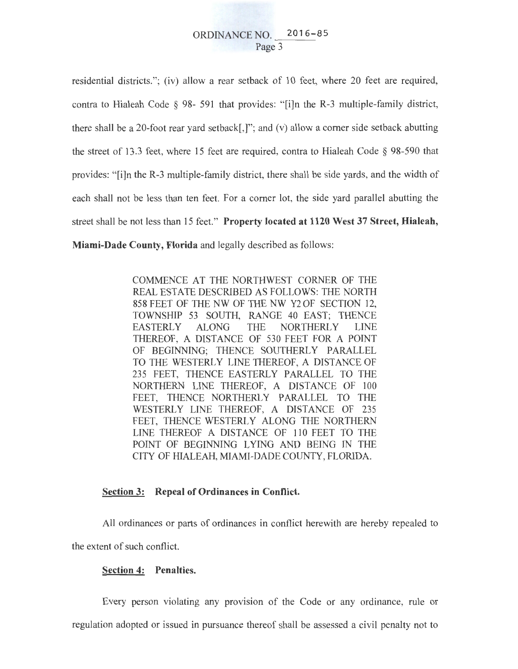# ORDINANCE NO. 2016-85 Page 3

residential districts."; (iv) allow a rear setback of 10 feet, where 20 feet are required, contra to Hialeah Code  $\S$  98- 591 that provides: "[i]n the R-3 multiple-family district, there shall be a 20-foot rear vard setback[,]"; and (v) allow a corner side setback abutting the street of 13.3 feet, where 15 feet are required, contra to Hialeah Code § 98-590 that provides: "[i]n the R-3 multiple-family district, there shall be side yards, and the width of each shall not be less than ten feet. For a comer lot, the side yard parallel abutting the street shall be not less than 15 feet." **Property located at 1120 West 37 Street, Hialeah, Miami-Dade County, Florida** and legally described as follows:

> COMMENCE AT THE NORTHWEST CORNER OF THE REAL ESTATE DESCRIBED AS FOLLOWS: THE NORTH 858 FEET OF THE NW OF THE NW Y2 OF SECTION 12, TOWNSHIP 53 SOUTH, RANGE 40 EAST; THENCE EASTERLY ALONG THE NORTHERLY LINE THEREOF, A DISTANCE OF 530 FEET FOR A POINT OF BEGINNING; THENCE SOUTHERLY PARALLEL TO THE WESTERLY LINE THEREOF, A DISTANCE OF 235 FEET, THENCE EASTERLY PARALLEL TO THE NORTHERN LINE THEREOF, A DISTANCE OF 100 FEET, THENCE NORTHERLY PARALLEL TO THE WESTERLY LINE THEREOF, A DISTANCE OF 235 FEET, THENCE WESTERLY ALONG THE NORTHERN LINE THEREOF A DISTANCE OF 110 FEET TO THE POINT OF BEGINNING LYING AND BEING IN THE CITY OF HIALEAH, MIAMI-DADE COUNTY, FLORIDA.

## **Section 3: Repeal of Ordinances in Conflict.**

All ordinances or parts of ordinances in conflict herewith are hereby repealed to the extent of such conflict.

#### **Section 4: Penalties.**

Every person violating any provision of the Code or any ordinance, rule or regulation adopted or issued in pursuance thereof shall be assessed a civil penalty not to